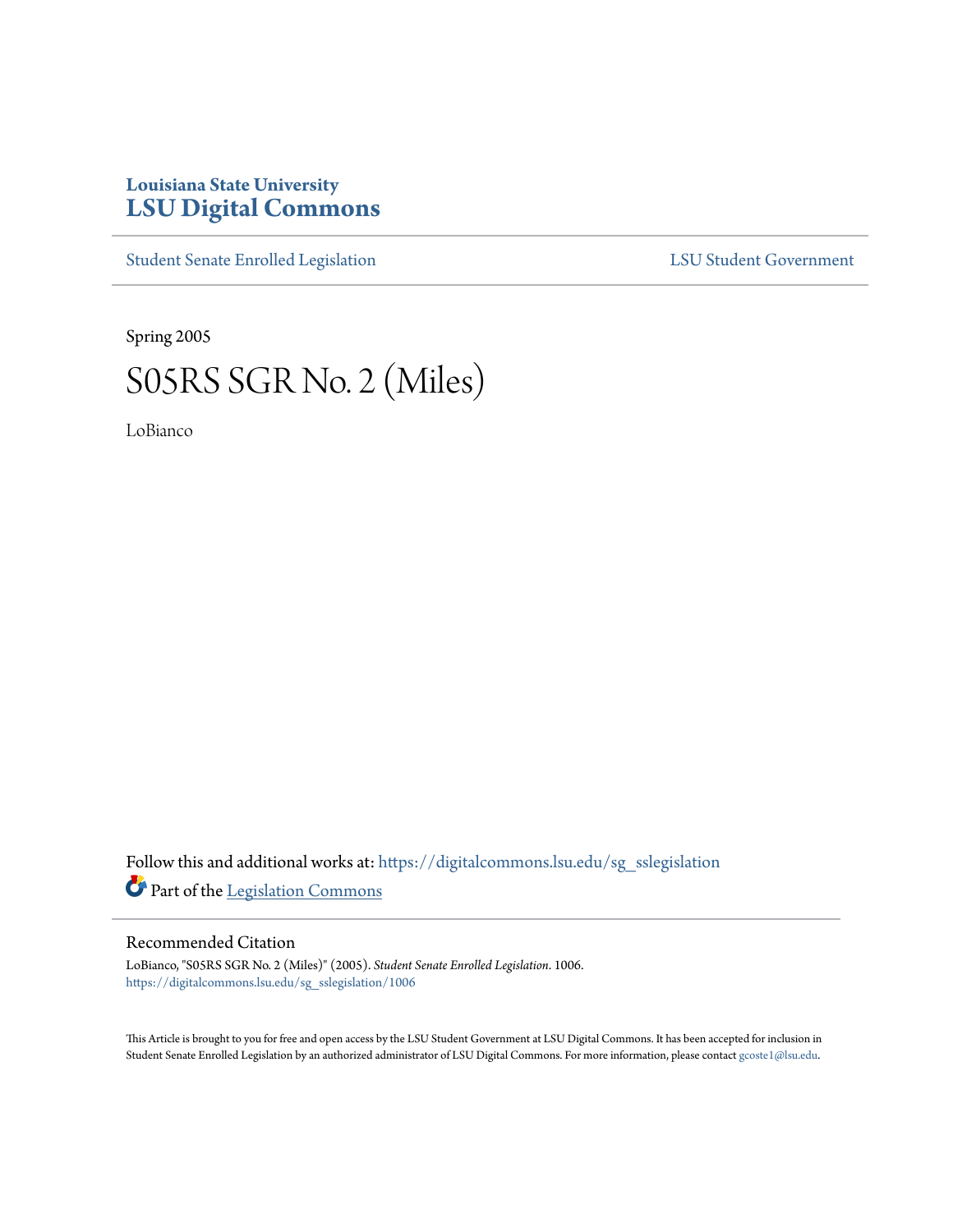## **Louisiana State University [LSU Digital Commons](https://digitalcommons.lsu.edu?utm_source=digitalcommons.lsu.edu%2Fsg_sslegislation%2F1006&utm_medium=PDF&utm_campaign=PDFCoverPages)**

[Student Senate Enrolled Legislation](https://digitalcommons.lsu.edu/sg_sslegislation?utm_source=digitalcommons.lsu.edu%2Fsg_sslegislation%2F1006&utm_medium=PDF&utm_campaign=PDFCoverPages) [LSU Student Government](https://digitalcommons.lsu.edu/sg?utm_source=digitalcommons.lsu.edu%2Fsg_sslegislation%2F1006&utm_medium=PDF&utm_campaign=PDFCoverPages)

Spring 2005

## S05RS SGR No. 2 (Miles)

LoBianco

Follow this and additional works at: [https://digitalcommons.lsu.edu/sg\\_sslegislation](https://digitalcommons.lsu.edu/sg_sslegislation?utm_source=digitalcommons.lsu.edu%2Fsg_sslegislation%2F1006&utm_medium=PDF&utm_campaign=PDFCoverPages) Part of the [Legislation Commons](http://network.bepress.com/hgg/discipline/859?utm_source=digitalcommons.lsu.edu%2Fsg_sslegislation%2F1006&utm_medium=PDF&utm_campaign=PDFCoverPages)

## Recommended Citation

LoBianco, "S05RS SGR No. 2 (Miles)" (2005). *Student Senate Enrolled Legislation*. 1006. [https://digitalcommons.lsu.edu/sg\\_sslegislation/1006](https://digitalcommons.lsu.edu/sg_sslegislation/1006?utm_source=digitalcommons.lsu.edu%2Fsg_sslegislation%2F1006&utm_medium=PDF&utm_campaign=PDFCoverPages)

This Article is brought to you for free and open access by the LSU Student Government at LSU Digital Commons. It has been accepted for inclusion in Student Senate Enrolled Legislation by an authorized administrator of LSU Digital Commons. For more information, please contact [gcoste1@lsu.edu.](mailto:gcoste1@lsu.edu)